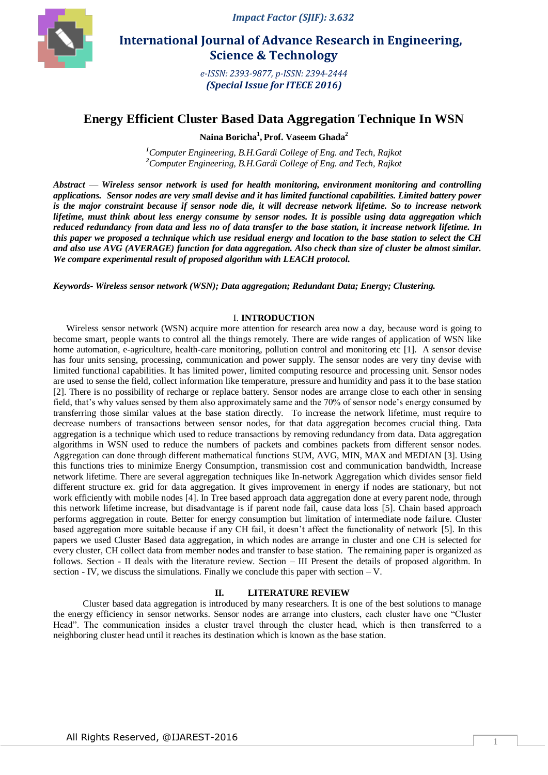

*Impact Factor (SJIF): 3.632*

# **International Journal of Advance Research in Engineering, Science & Technology**

*e-ISSN: 2393-9877, p-ISSN: 2394-2444 (Special Issue for ITECE 2016)*

# **Energy Efficient Cluster Based Data Aggregation Technique In WSN**

**Naina Boricha<sup>1</sup> , Prof. Vaseem Ghada<sup>2</sup>**

*<sup>1</sup>Computer Engineering, B.H.Gardi College of Eng. and Tech, Rajkot <sup>2</sup>Computer Engineering, B.H.Gardi College of Eng. and Tech, Rajkot*

*Abstract* — *Wireless sensor network is used for health monitoring, environment monitoring and controlling applications. Sensor nodes are very small devise and it has limited functional capabilities. Limited battery power is the major constraint because if sensor node die, it will decrease network lifetime. So to increase network lifetime, must think about less energy consume by sensor nodes. It is possible using data aggregation which reduced redundancy from data and less no of data transfer to the base station, it increase network lifetime. In this paper we proposed a technique which use residual energy and location to the base station to select the CH and also use AVG (AVERAGE) function for data aggregation. Also check than size of cluster be almost similar. We compare experimental result of proposed algorithm with LEACH protocol.*

*Keywords- Wireless sensor network (WSN); Data aggregation; Redundant Data; Energy; Clustering.*

## I. **INTRODUCTION**

Wireless sensor network (WSN) acquire more attention for research area now a day, because word is going to become smart, people wants to control all the things remotely. There are wide ranges of application of WSN like home automation, e-agriculture, health-care monitoring, pollution control and monitoring etc [1]. A sensor devise has four units sensing, processing, communication and power supply. The sensor nodes are very tiny devise with limited functional capabilities. It has limited power, limited computing resource and processing unit. Sensor nodes are used to sense the field, collect information like temperature, pressure and humidity and pass it to the base station [2]. There is no possibility of recharge or replace battery. Sensor nodes are arrange close to each other in sensing field, that's why values sensed by them also approximately same and the 70% of sensor node's energy consumed by transferring those similar values at the base station directly. To increase the network lifetime, must require to decrease numbers of transactions between sensor nodes, for that data aggregation becomes crucial thing. Data aggregation is a technique which used to reduce transactions by removing redundancy from data. Data aggregation algorithms in WSN used to reduce the numbers of packets and combines packets from different sensor nodes. Aggregation can done through different mathematical functions SUM, AVG, MIN, MAX and MEDIAN [3]. Using this functions tries to minimize Energy Consumption, transmission cost and communication bandwidth, Increase network lifetime. There are several aggregation techniques like In-network Aggregation which divides sensor field different structure ex. grid for data aggregation. It gives improvement in energy if nodes are stationary, but not work efficiently with mobile nodes [4]. In Tree based approach data aggregation done at every parent node, through this network lifetime increase, but disadvantage is if parent node fail, cause data loss [5]. Chain based approach performs aggregation in route. Better for energy consumption but limitation of intermediate node failure. Cluster based aggregation more suitable because if any CH fail, it doesn't affect the functionality of network [5]. In this papers we used Cluster Based data aggregation, in which nodes are arrange in cluster and one CH is selected for every cluster, CH collect data from member nodes and transfer to base station. The remaining paper is organized as follows. Section - II deals with the literature review. Section – III Present the details of proposed algorithm. In section - IV, we discuss the simulations. Finally we conclude this paper with section  $-V$ .

# **II. LITERATURE REVIEW**

Cluster based data aggregation is introduced by many researchers. It is one of the best solutions to manage the energy efficiency in sensor networks. Sensor nodes are arrange into clusters, each cluster have one "Cluster" Head". The communication insides a cluster travel through the cluster head, which is then transferred to a neighboring cluster head until it reaches its destination which is known as the base station.

1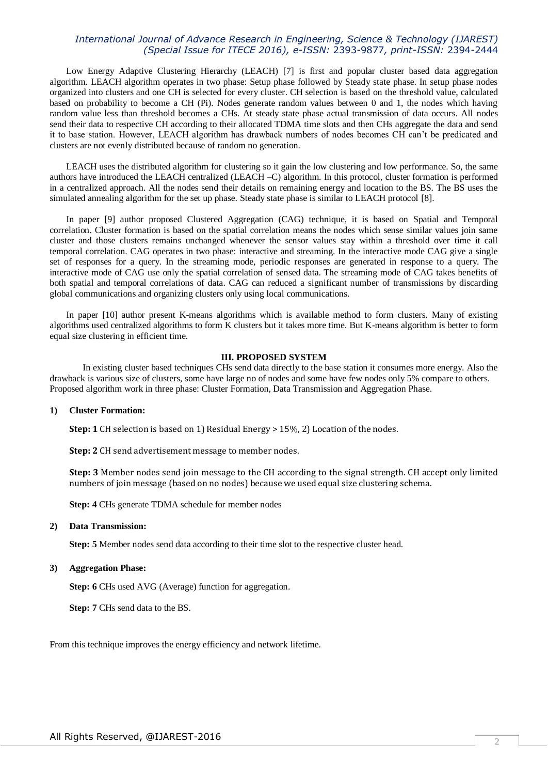# *International Journal of Advance Research in Engineering, Science & Technology (IJAREST) (Special Issue for ITECE 2016), e-ISSN:* 2393-9877*, print-ISSN:* 2394-2444

Low Energy Adaptive Clustering Hierarchy (LEACH) [7] is first and popular cluster based data aggregation algorithm. LEACH algorithm operates in two phase: Setup phase followed by Steady state phase. In setup phase nodes organized into clusters and one CH is selected for every cluster. CH selection is based on the threshold value, calculated based on probability to become a CH (Pi). Nodes generate random values between 0 and 1, the nodes which having random value less than threshold becomes a CHs. At steady state phase actual transmission of data occurs. All nodes send their data to respective CH according to their allocated TDMA time slots and then CHs aggregate the data and send it to base station. However, LEACH algorithm has drawback numbers of nodes becomes CH can't be predicated and clusters are not evenly distributed because of random no generation.

LEACH uses the distributed algorithm for clustering so it gain the low clustering and low performance. So, the same authors have introduced the LEACH centralized (LEACH –C) algorithm. In this protocol, cluster formation is performed in a centralized approach. All the nodes send their details on remaining energy and location to the BS. The BS uses the simulated annealing algorithm for the set up phase. Steady state phase is similar to LEACH protocol [8].

In paper [9] author proposed Clustered Aggregation (CAG) technique, it is based on Spatial and Temporal correlation. Cluster formation is based on the spatial correlation means the nodes which sense similar values join same cluster and those clusters remains unchanged whenever the sensor values stay within a threshold over time it call temporal correlation. CAG operates in two phase: interactive and streaming. In the interactive mode CAG give a single set of responses for a query. In the streaming mode, periodic responses are generated in response to a query. The interactive mode of CAG use only the spatial correlation of sensed data. The streaming mode of CAG takes benefits of both spatial and temporal correlations of data. CAG can reduced a significant number of transmissions by discarding global communications and organizing clusters only using local communications.

In paper [10] author present K-means algorithms which is available method to form clusters. Many of existing algorithms used centralized algorithms to form K clusters but it takes more time. But K-means algorithm is better to form equal size clustering in efficient time.

## **III. PROPOSED SYSTEM**

In existing cluster based techniques CHs send data directly to the base station it consumes more energy. Also the drawback is various size of clusters, some have large no of nodes and some have few nodes only 5% compare to others. Proposed algorithm work in three phase: Cluster Formation, Data Transmission and Aggregation Phase.

### **1) Cluster Formation:**

**Step: 1** CH selection is based on 1) Residual Energy > 15%, 2) Location of the nodes.

**Step: 2** CH send advertisement message to member nodes.

**Step: 3** Member nodes send join message to the CH according to the signal strength. CH accept only limited numbers of join message (based on no nodes) because we used equal size clustering schema.

**Step: 4** CHs generate TDMA schedule for member nodes

#### **2) Data Transmission:**

**Step: 5** Member nodes send data according to their time slot to the respective cluster head.

## **3) Aggregation Phase:**

**Step: 6** CHs used AVG (Average) function for aggregation.

**Step: 7** CHs send data to the BS.

From this technique improves the energy efficiency and network lifetime.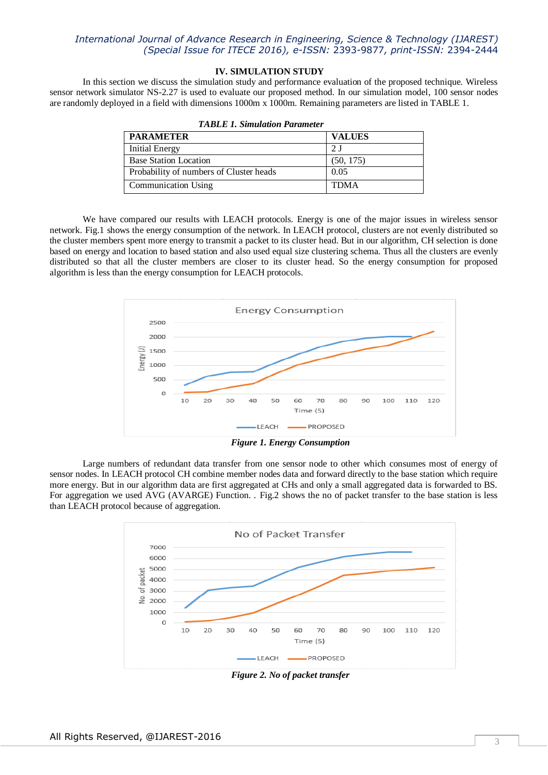# *International Journal of Advance Research in Engineering, Science & Technology (IJAREST) (Special Issue for ITECE 2016), e-ISSN:* 2393-9877*, print-ISSN:* 2394-2444

## **IV. SIMULATION STUDY**

In this section we discuss the simulation study and performance evaluation of the proposed technique. Wireless sensor network simulator NS-2.27 is used to evaluate our proposed method. In our simulation model, 100 sensor nodes are randomly deployed in a field with dimensions 1000m x 1000m. Remaining parameters are listed in TABLE 1.

| <b>PARAMETER</b>                        | <b>VALUES</b> |  |
|-----------------------------------------|---------------|--|
| <b>Initial Energy</b>                   |               |  |
| <b>Base Station Location</b>            | (50, 175)     |  |
| Probability of numbers of Cluster heads | 0.05          |  |
| <b>Communication Using</b>              | <b>TDMA</b>   |  |

|  | <b>TABLE 1. Simulation Parameter</b> |  |
|--|--------------------------------------|--|
|--|--------------------------------------|--|

We have compared our results with LEACH protocols. Energy is one of the major issues in wireless sensor network. Fig.1 shows the energy consumption of the network. In LEACH protocol, clusters are not evenly distributed so the cluster members spent more energy to transmit a packet to its cluster head. But in our algorithm, CH selection is done based on energy and location to based station and also used equal size clustering schema. Thus all the clusters are evenly distributed so that all the cluster members are closer to its cluster head. So the energy consumption for proposed algorithm is less than the energy consumption for LEACH protocols.



*Figure 1. Energy Consumption*

Large numbers of redundant data transfer from one sensor node to other which consumes most of energy of sensor nodes. In LEACH protocol CH combine member nodes data and forward directly to the base station which require more energy. But in our algorithm data are first aggregated at CHs and only a small aggregated data is forwarded to BS. For aggregation we used AVG (AVARGE) Function. . Fig.2 shows the no of packet transfer to the base station is less than LEACH protocol because of aggregation.



*Figure 2. No of packet transfer*